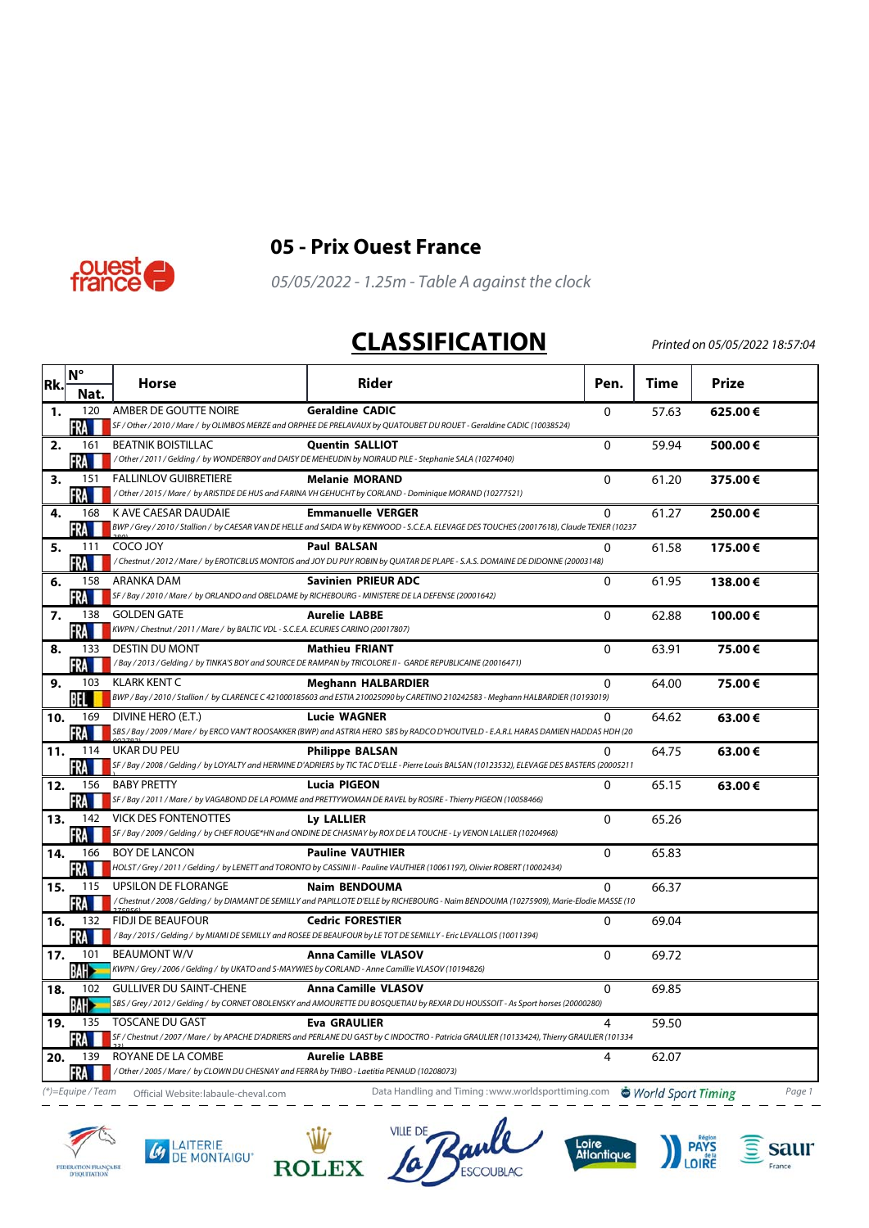



## **05 - Prix Ouest France**

05/05/2022 - 1.25m - Table A against the clock

## **CLASSIFICATION**

Printed on 05/05/2022 18:57:04

| Rk. | <b>N°</b>    | Horse                                                                                               | Rider                                                                                                                                                   | Pen.         | Time  | <b>Prize</b> |
|-----|--------------|-----------------------------------------------------------------------------------------------------|---------------------------------------------------------------------------------------------------------------------------------------------------------|--------------|-------|--------------|
|     | Nat.         |                                                                                                     |                                                                                                                                                         |              |       |              |
| 1.  | 120          | AMBER DE GOUTTE NOIRE                                                                               | <b>Geraldine CADIC</b><br>SF / Other / 2010 / Mare / by OLIMBOS MERZE and ORPHEE DE PRELAVAUX by QUATOUBET DU ROUET - Geraldine CADIC (10038524)        | $\mathbf{0}$ | 57.63 | 625.00€      |
|     | FRA          |                                                                                                     |                                                                                                                                                         |              |       |              |
| 2.  | 161<br>'RA   | <b>BEATNIK BOISTILLAC</b>                                                                           | <b>Quentin SALLIOT</b><br>/ Other / 2011 / Gelding / by WONDERBOY and DAISY DE MEHEUDIN by NOIRAUD PILE - Stephanie SALA (10274040)                     | $\mathbf 0$  | 59.94 | 500.00€      |
| з.  | 151          | <b>FALLINLOV GUIBRETIERE</b>                                                                        | <b>Melanie MORAND</b>                                                                                                                                   | $\mathbf 0$  | 61.20 | 375.00€      |
|     | FRA          |                                                                                                     | / Other / 2015 / Mare / by ARISTIDE DE HUS and FARINA VH GEHUCHT by CORLAND - Dominique MORAND (10277521)                                               |              |       |              |
| 4.  | 168          | K AVE CAESAR DAUDAIE                                                                                | <b>Emmanuelle VERGER</b>                                                                                                                                | $\Omega$     | 61.27 | 250.00€      |
|     | FRA          |                                                                                                     | BWP / Grey / 2010 / Stallion / by CAESAR VAN DE HELLE and SAIDA W by KENWOOD - S.C.E.A. ELEVAGE DES TOUCHES (20017618), Claude TEXIER (10237            |              |       |              |
| 5.  | 111          | <b>COCO JOY</b>                                                                                     | <b>Paul BALSAN</b>                                                                                                                                      | $\Omega$     | 61.58 | 175.00€      |
|     | RA.          |                                                                                                     | / Chestnut / 2012 / Mare / by EROTICBLUS MONTOIS and JOY DU PUY ROBIN by QUATAR DE PLAPE - S.A.S. DOMAINE DE DIDONNE (20003148)                         |              |       |              |
| 6.  | 158          | <b>ARANKA DAM</b>                                                                                   | <b>Savinien PRIEUR ADC</b>                                                                                                                              | $\mathbf 0$  | 61.95 | 138.00€      |
|     | FRA          | SF / Bay / 2010 / Mare / by ORLANDO and OBELDAME by RICHEBOURG - MINISTERE DE LA DEFENSE (20001642) |                                                                                                                                                         |              |       |              |
| 7.  | 138          | <b>GOLDEN GATE</b>                                                                                  | <b>Aurelie LABBE</b>                                                                                                                                    | 0            | 62.88 | 100.00€      |
|     | -RA          | KWPN / Chestnut / 2011 / Mare / by BALTIC VDL - S.C.E.A. ECURIES CARINO (20017807)                  |                                                                                                                                                         |              |       |              |
| 8.  | 133<br>FRA   | <b>DESTIN DU MONT</b>                                                                               | <b>Mathieu FRIANT</b><br>/Bay/2013/Gelding/by TINKA'S BOY and SOURCE DE RAMPAN by TRICOLORE II - GARDE REPUBLICAINE (20016471)                          | $\Omega$     | 63.91 | 75.00€       |
| 9.  | 103          | KLARK KENT C                                                                                        | <b>Meghann HALBARDIER</b>                                                                                                                               | $\Omega$     | 64.00 | 75.00€       |
|     | BEL.         |                                                                                                     | BWP / Bay / 2010 / Stallion / by CLARENCE C 421000185603 and ESTIA 210025090 by CARETINO 210242583 - Meghann HALBARDIER (10193019)                      |              |       |              |
| 10. | 169          | DIVINE HERO (E.T.)                                                                                  | <b>Lucie WAGNER</b>                                                                                                                                     | $\Omega$     | 64.62 | 63.00€       |
|     | FRA          |                                                                                                     | SBS / Bay / 2009 / Mare / by ERCO VAN'T ROOSAKKER (BWP) and ASTRIA HERO SBS by RADCO D'HOUTVELD - E.A.R.L HARAS DAMIEN HADDAS HDH (20                   |              |       |              |
| 11. | 114          | UKAR DU PEU                                                                                         | <b>Philippe BALSAN</b>                                                                                                                                  | $\Omega$     | 64.75 | 63.00€       |
|     | FRA          |                                                                                                     | SF / Bay / 2008 / Gelding / by LOYALTY and HERMINE D'ADRIERS by TIC TAC D'ELLE - Pierre Louis BALSAN (10123532), ELEVAGE DES BASTERS (20005211          |              |       |              |
| 12. | 156          | <b>BABY PRETTY</b>                                                                                  | Lucia PIGEON                                                                                                                                            | $\Omega$     | 65.15 | 63.00€       |
|     | <b>FRA</b>   |                                                                                                     | SF / Bay / 2011 / Mare / by VAGABOND DE LA POMME and PRETTYWOMAN DE RAVEL by ROSIRE - Thierry PIGEON (10058466)                                         |              |       |              |
| 13. | 142          | <b>VICK DES FONTENOTTES</b>                                                                         | Ly LALLIER                                                                                                                                              | $\Omega$     | 65.26 |              |
|     | FRA <b>H</b> |                                                                                                     | SF / Bay / 2009 / Gelding / by CHEF ROUGE*HN and ONDINE DE CHASNAY by ROX DE LA TOUCHE - Ly VENON LALLIER (10204968)                                    |              |       |              |
| 14. | 166          | <b>BOY DE LANCON</b>                                                                                | <b>Pauline VAUTHIER</b><br>HOLST / Grey / 2011 / Gelding / by LENETT and TORONTO by CASSINI II - Pauline VAUTHIER (10061197), Olivier ROBERT (10002434) | $\Omega$     | 65.83 |              |
|     | FRA          | <b>UPSILON DE FLORANGE</b>                                                                          | <b>Naim BENDOUMA</b>                                                                                                                                    | $\Omega$     |       |              |
| 15. | 115<br>FRA   |                                                                                                     | / Chestnut / 2008 / Gelding / by DIAMANT DE SEMILLY and PAPILLOTE D'ELLE by RICHEBOURG - Naim BENDOUMA (10275909), Marie-Elodie MASSE (10               |              | 66.37 |              |
| 16. | 132          | <b>FIDJI DE BEAUFOUR</b>                                                                            | <b>Cedric FORESTIER</b>                                                                                                                                 | 0            | 69.04 |              |
|     | FRA          |                                                                                                     | /Bay / 2015 / Gelding / by MIAMI DE SEMILLY and ROSEE DE BEAUFOUR by LE TOT DE SEMILLY - Eric LEVALLOIS (10011394)                                      |              |       |              |
| 17. | 101          | <b>BEAUMONT W/V</b>                                                                                 | <b>Anna Camille VLASOV</b>                                                                                                                              | $\Omega$     | 69.72 |              |
|     | <b>BAH</b>   | KWPN / Grey / 2006 / Gelding / by UKATO and S-MAYWIES by CORLAND - Anne Camillie VLASOV (10194826)  |                                                                                                                                                         |              |       |              |
| 18. | 102          | <b>GULLIVER DU SAINT-CHENE</b>                                                                      | <b>Anna Camille VLASOV</b>                                                                                                                              | $\Omega$     | 69.85 |              |
|     | ВАНЭ         |                                                                                                     | SBS / Grey / 2012 / Gelding / by CORNET OBOLENSKY and AMOURETTE DU BOSQUETIAU by REXAR DU HOUSSOIT - As Sport horses (20000280)                         |              |       |              |
| 19. | 135          | <b>TOSCANE DU GAST</b>                                                                              | <b>Eva GRAULIER</b>                                                                                                                                     | 4            | 59.50 |              |
|     | -RA          |                                                                                                     | SF / Chestnut / 2007 / Mare / by APACHE D'ADRIERS and PERLANE DU GAST by C INDOCTRO - Patricia GRAULIER (10133424), Thierry GRAULIER (101334            |              |       |              |
| 20. | 139          | ROYANE DE LA COMBE                                                                                  | <b>Aurelie LABBE</b>                                                                                                                                    | 4            | 62.07 |              |
|     | <b>FRA</b>   | / Other / 2005 / Mare / by CLOWN DU CHESNAY and FERRA by THIBO - Laetitia PENAUD (10208073)         |                                                                                                                                                         |              |       |              |

(\*)=Equipe/Team Official Website:labaule-cheval.com Data Handling and Timing :www.worldsporttiming.com World Sport Timing Page 1

Ly